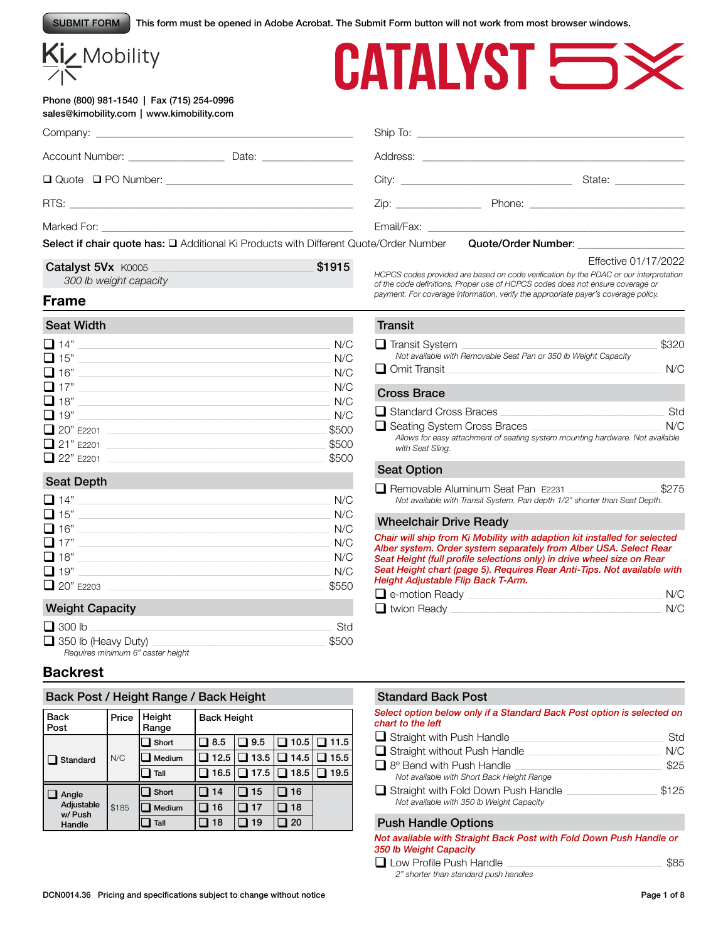SUBMIT FORM This form must be opened in Adobe Acrobat. The Submit Form button will not work from most browser windows.

| $\frac{Ki}{\sqrt{N}}$ Mobility                                                         |            | CATALYST <b>SESS</b>                                                                                                                                                                                                                                                               |                      |
|----------------------------------------------------------------------------------------|------------|------------------------------------------------------------------------------------------------------------------------------------------------------------------------------------------------------------------------------------------------------------------------------------|----------------------|
| Phone (800) 981-1540   Fax (715) 254-0996<br>sales@kimobility.com   www.kimobility.com |            |                                                                                                                                                                                                                                                                                    |                      |
|                                                                                        |            |                                                                                                                                                                                                                                                                                    |                      |
|                                                                                        |            | Address: <u>Address:</u> Address: <b>Address:</b> Address: <b>Address:</b> Address: <b>Address:</b> Address: <b>Address:</b> Address: <b>Address:</b> Address: <b>Address:</b> Address: <b>Address:</b> Address: <b>Address: Address: Address: Address: Address: <b>Addres</b></b> |                      |
|                                                                                        |            |                                                                                                                                                                                                                                                                                    |                      |
|                                                                                        |            |                                                                                                                                                                                                                                                                                    |                      |
|                                                                                        |            |                                                                                                                                                                                                                                                                                    |                      |
| Select if chair quote has: □ Additional Ki Products with Different Quote/Order Number  |            | Quote/Order Number: National According Contract Contract Contract Contract Contract Contract Contract Contract Contract Contract Contract Contract Contract Contract Contract Contract Contract Contract Contract Contract Con                                                     |                      |
| Catalyst 5Vx K0005<br>300 lb weight capacity                                           | \$1915     | HCPCS codes provided are based on code verification by the PDAC or our interpretation<br>of the code definitions. Proper use of HCPCS codes does not ensure coverage or<br>payment. For coverage information, verify the appropriate payer's coverage policy.                      | Effective 01/17/2022 |
| <b>Frame</b>                                                                           |            |                                                                                                                                                                                                                                                                                    |                      |
| <b>Seat Width</b>                                                                      |            | <b>Transit</b>                                                                                                                                                                                                                                                                     |                      |
| $\Box$ 14"                                                                             | N/C        | Transit System Theory<br>Not available with Removable Seat Pan or 350 lb Weight Capacity                                                                                                                                                                                           | \$320                |
| $\Box$ 15"<br>$\Box$ 16"                                                               | N/C<br>N/C | $\Box$ Omit Transit                                                                                                                                                                                                                                                                | N/C                  |
| $\Box$ 17"                                                                             | N/C        | <b>Cross Brace</b>                                                                                                                                                                                                                                                                 |                      |
| $\Box$ 18"<br>$\Box$ 19"                                                               | N/C<br>N/C | $\Box$ Standard Cross Braces                                                                                                                                                                                                                                                       | Std                  |
| $20"$ E2201                                                                            | \$500      | □ Seating System Cross Braces                                                                                                                                                                                                                                                      | N/C                  |
| $\Box$ 21" E2201                                                                       | \$500      | Allows for easy attachment of seating system mounting hardware. Not available<br>with Seat Sling.                                                                                                                                                                                  |                      |
| $\Box$ 22" E2201                                                                       | \$500      | <b>Seat Option</b>                                                                                                                                                                                                                                                                 |                      |
| <b>Seat Depth</b>                                                                      |            | Removable Aluminum Seat Pan E2231                                                                                                                                                                                                                                                  | \$275                |
| $\Box$ 14"                                                                             | N/C        | Not available with Transit System. Pan depth 1/2" shorter than Seat Depth.                                                                                                                                                                                                         |                      |
| $\Box$ 15"<br>$\Box$ 16"                                                               | N/C        | <b>Wheelchair Drive Ready</b>                                                                                                                                                                                                                                                      |                      |
| $\Box$ 17"                                                                             | N/C<br>N/C | Chair will ship from Ki Mobility with adaption kit installed for selected                                                                                                                                                                                                          |                      |
| $\Box$ 18"                                                                             | N/C        | Alber system. Order system separately from Alber USA. Select Rear<br>Seat Height (full profile selections only) in drive wheel size on Rear                                                                                                                                        |                      |
| $\Box$ 19"                                                                             | N/C        | Seat Height chart (page 5). Requires Rear Anti-Tips. Not available with<br>Height Adjustable Flip Back T-Arm.                                                                                                                                                                      |                      |
| 20" E2203                                                                              | \$550      | e-motion Ready experience and the contract of the state of the state of the state of the state of the state of the state of the state of the state of the state of the state of the state of the state of the state of the sta                                                     | N/C                  |
| <b>Weight Capacity</b>                                                                 |            | $\Box$ twion Ready $\Box$                                                                                                                                                                                                                                                          | N/C                  |
| $\Box$ 300 lb                                                                          | Std        |                                                                                                                                                                                                                                                                                    |                      |
| $\Box$ 350 lb (Heavy Duty)<br>Requires minimum 6" caster height                        | \$500      |                                                                                                                                                                                                                                                                                    |                      |
| <b>Backrest</b>                                                                        |            |                                                                                                                                                                                                                                                                                    |                      |
|                                                                                        |            |                                                                                                                                                                                                                                                                                    |                      |

Standard Back Post

Push Handle Options

*350 lb Weight Capacity*

 $\Box$  Straight without Push Handle

*Not available with Short Back Height Range*

*Not available with 350 lb Weight Capacity*

*2" shorter than standard push handles*

*chart to the left*

*Select option below only if a Standard Back Post option is selected on* 

q Straight with Push Handle \_\_\_\_\_\_\_\_\_\_\_\_\_\_\_\_\_\_\_\_\_\_\_\_\_\_\_\_\_\_\_\_\_\_\_\_\_\_\_\_\_\_\_\_\_\_\_\_\_\_\_\_\_\_\_\_\_\_\_\_\_\_\_\_ Std

 $\Box$  8° Bend with Push Handle  $\Box$ 

q Straight with Fold Down Push Handle \_\_\_\_\_\_\_\_\_\_\_\_\_\_\_\_\_\_\_\_\_\_\_\_\_\_\_\_\_\_\_\_\_\_\_\_\_\_ \$125

*Not available with Straight Back Post with Fold Down Push Handle or* 

**Q** Low Profile Push Handle **Latter and All 2014** S85

# Back Post / Height Range / Back Height

| <b>Back</b><br>Post            | Price | Height<br>Range | <b>Back Height</b> |       |      |             |  |  |
|--------------------------------|-------|-----------------|--------------------|-------|------|-------------|--|--|
| Standard                       |       | Short           | 8.5                | ■ 9.5 | 10.5 | $\Box$ 11.5 |  |  |
|                                | N/C   | Medium          | 12.5               | 13.5  | 14.5 | 15.5        |  |  |
|                                |       | Tall            | 16.5               | 17.5  | 18.5 | 19.5        |  |  |
| Angle                          |       | Short           | 14                 | 15    | 16   |             |  |  |
| Adjustable<br>w/Push<br>Handle | \$185 | Medium          | 16                 | 17    | 18   |             |  |  |
|                                |       | Tall            | 18                 | 19    | 20   |             |  |  |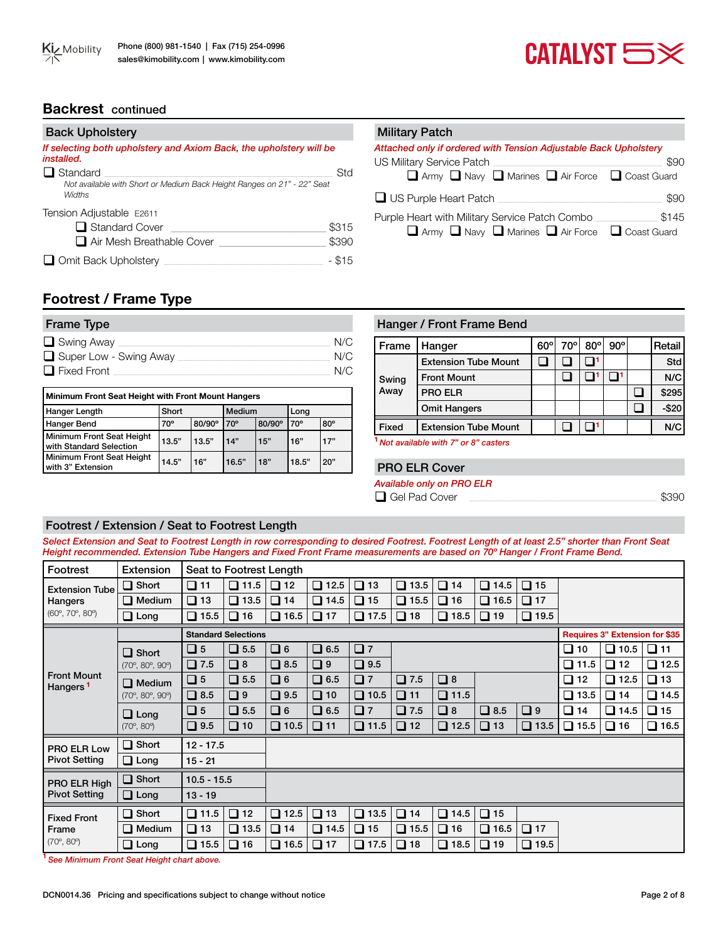# CATALYST **SX**

# **Backrest** continued

| <b>Back Upholstery</b>                                                                                      | <b>Military Patch</b>                                                  |
|-------------------------------------------------------------------------------------------------------------|------------------------------------------------------------------------|
| If selecting both upholstery and Axiom Back, the upholstery will be<br>installed.<br>$\Box$ Standard<br>Std | Attached only if of<br><b>US Military Servic</b><br>$\Box$ Army $\Box$ |
| Not available with Short or Medium Back Height Ranges on 21" - 22" Seat<br>Widths                           | $\Box$ US Purple He                                                    |
| Tension Adjustable E2611<br>$\Box$ Standard Cover<br>\$315<br>□ Air Mesh Breathable Cover<br>\$390          | Purple Heart with<br>$\Box$ Army [                                     |
| $-$ \$15<br>$\Box$ Omit Back Upholstery                                                                     |                                                                        |

| <b>Military Patch</b>                                            |       |
|------------------------------------------------------------------|-------|
| Attached only if ordered with Tension Adjustable Back Upholstery |       |
| US Military Service Patch                                        | \$90  |
| Army Navy Marines Air Force C Coast Guard                        |       |
| □ US Purple Heart Patch                                          | \$90  |
| Purple Heart with Military Service Patch Combo                   | \$145 |
| Army Navy Narines Air Force C Coast Guard                        |       |

# **Footrest / Frame Type**

| <b>Frame Type</b>      |     |
|------------------------|-----|
| $\Box$ Swing Away      | N/C |
| Super Low - Swing Away | N/C |
| $\Box$ Fixed Front     | N/C |

| Minimum Front Seat Height with Front Mount Hangers   |            |        |              |        |              |            |  |  |  |  |  |  |
|------------------------------------------------------|------------|--------|--------------|--------|--------------|------------|--|--|--|--|--|--|
| Hanger Length                                        | Short      |        | Medium       |        | Lona         |            |  |  |  |  |  |  |
| <b>Hanger Bend</b>                                   | $70^\circ$ | 80/90° | $70^{\circ}$ | 80/90° | $70^{\circ}$ | $80^\circ$ |  |  |  |  |  |  |
| Minimum Front Seat Height<br>with Standard Selection | 13.5"      | 13.5"  | 14"          | 15"    | 16"          | 17"        |  |  |  |  |  |  |
| Minimum Front Seat Height<br>with 3" Extension       | 14.5"      | 16"    | 16.5"        | 18"    | 18.5"        | 20"        |  |  |  |  |  |  |

# Hanger / Front Frame Bend

| Frame        | Hanger                      | $60^{\circ}$ | 70° | $80^\circ$ | $90^{\circ}$ | Retail |
|--------------|-----------------------------|--------------|-----|------------|--------------|--------|
|              | <b>Extension Tube Mount</b> |              |     |            |              | Std    |
| Swing        | <b>Front Mount</b>          |              |     |            |              | N/C    |
| Away         | <b>PRO ELR</b>              |              |     |            |              | \$295  |
|              | <b>Omit Hangers</b>         |              |     |            |              | $-$20$ |
| <b>Fixed</b> | <b>Extension Tube Mount</b> |              |     |            |              | N/C    |
| .            |                             |              |     |            |              |        |

**<sup>1</sup>** *Not available with 7" or 8" casters*

#### PRO ELR Cover

*Available only on PRO ELR*

q Gel Pad Cover \_\_\_\_\_\_\_\_\_\_\_\_\_\_\_\_\_\_\_\_\_\_\_\_\_\_\_\_\_\_\_\_\_\_\_\_\_\_\_\_\_\_\_\_\_\_\_\_\_\_\_\_\_\_\_\_\_\_\_\_\_\_\_\_\_\_\_\_\_\_\_\_\_\_\_\_\_\_\_ \$390

### Footrest / Extension / Seat to Footrest Length

*Select Extension and Seat to Footrest Length in row corresponding to desired Footrest. Footrest Length of at least 2.5" shorter than Front Seat Height recommended. Extension Tube Hangers and Fixed Front Frame measurements are based on 70º Hanger / Front Frame Bend.* 

| Footrest                                   | Extension                              |                | Seat to Footrest Length    |             |             |             |               |             |             |                |              |                                       |             |
|--------------------------------------------|----------------------------------------|----------------|----------------------------|-------------|-------------|-------------|---------------|-------------|-------------|----------------|--------------|---------------------------------------|-------------|
| <b>Extension Tube</b>                      | $\Box$ Short                           | $\square$ 11   | $\Box$ 11.5                | $\Box$ 12   | $\Box$ 12.5 | $\Box$ 13   | $\Box$ 13.5   | $\Box$ 14   | $\Box$ 14.5 | $\Box$ 15      |              |                                       |             |
| Hangers<br>(60°, 70°, 80°)                 | $\Box$ Medium                          | $\Box$ 13      | $\Box$ 13.5                | $\Box$ 14   | $\Box$ 14.5 | $\Box$ 15   | $\Box$ 15.5   | $\Box$ 16   | $\Box$ 16.5 | $\Box$ 17      |              |                                       |             |
|                                            | $\Box$ Long                            | $\Box$ 15.5    | $\Box$ 16                  | $\Box$ 16.5 | $\Box$ 17   | $\Box$ 17.5 | $\Box$ 18     | $\Box$ 18.5 | $\Box$ 19   | $\Box$ 19.5    |              |                                       |             |
|                                            |                                        |                | <b>Standard Selections</b> |             |             |             |               |             |             |                |              | <b>Requires 3" Extension for \$35</b> |             |
|                                            | $\Box$ Short                           | $\Box$ 5       | $\Box$ 5.5                 | $\Box$ 6    | $\Box$ 6.5  | Q7          |               |             |             |                | $\square$ 10 | $\Box$ 10.5                           | $\Box$ 11   |
|                                            | $(70^{\circ}, 80^{\circ}, 90^{\circ})$ | $\square$ 7.5  | $\Box$ 8                   | $\Box$ 8.5  | $\square$ 9 | $\Box$ 9.5  |               |             |             |                | $\Box$ 11.5  | $\Box$ 12                             | $\Box$ 12.5 |
| <b>Front Mount</b><br>Hangers <sup>1</sup> | $\Box$ Medium                          | $\Box$ 5       | $\Box$ 5.5                 | $\Box$ 6    | $\Box$ 6.5  | Q7          | $\square$ 7.5 | $\Box$ 8    |             |                | $\Box$ 12    | $\square$ 12.5                        | $\Box$ 13   |
|                                            | $(70^{\circ}, 80^{\circ}, 90^{\circ})$ | $\Box$ 8.5     | $\Box$ 9                   | $\Box$ 9.5  | $\Box$ 10   | $\Box$ 10.5 | $\Box$ 11     | $\Box$ 11.5 |             |                | $\Box$ 13.5  | $\Box$ 14                             | $\Box$ 14.5 |
|                                            | $\Box$ Long                            | $\Box$ 5       | $\Box$ 5.5                 | $\Box$ 6    | $\Box$ 6.5  | Q7          | $\square$ 7.5 | $\Box$      | $\Box$ 8.5  | $\Box$         | $\Box$ 14    | $\square$ 14.5                        | $\Box$ 15   |
|                                            | $(70^{\circ}, 80^{\circ})$             | $\Box$ 9.5     | $\Box$ 10                  | $\Box$ 10.5 | $\Box$ 11   | $\Box$ 11.5 | $\Box$ 12     | $\Box$ 12.5 | $\Box$ 13   | $\Box$ 13.5    | $\Box$ 15.5  | $\Box$ 16                             | $\Box$ 16.5 |
| PRO ELR Low                                | $\Box$ Short                           | $12 - 17.5$    |                            |             |             |             |               |             |             |                |              |                                       |             |
| <b>Pivot Setting</b>                       | $\Box$ Long                            | $15 - 21$      |                            |             |             |             |               |             |             |                |              |                                       |             |
| PRO ELR High                               | $\Box$ Short                           | $10.5 - 15.5$  |                            |             |             |             |               |             |             |                |              |                                       |             |
| <b>Pivot Setting</b>                       | $\Box$ Long                            | $13 - 19$      |                            |             |             |             |               |             |             |                |              |                                       |             |
| <b>Fixed Front</b>                         | $\Box$ Short                           | $\Box$ 11.5    | $\Box$ 12                  | $\Box$ 12.5 | $\Box$ 13   | $\Box$ 13.5 | $\Box$ 14     | $\Box$ 14.5 | $\Box$ 15   |                |              |                                       |             |
| Frame                                      | $\Box$ Medium                          | $\Box$ 13      | $\Box$ 13.5                | $\Box$ 14   | $\Box$ 14.5 | $\Box$ 15   | $\Box$ 15.5   | $\Box$ 16   | $\Box$ 16.5 | $\Box$ 17      |              |                                       |             |
| $(70^{\circ}, 80^{\circ})$                 | $\Box$ Long                            | $\square$ 15.5 | $\Box$ 16                  | $\Box$ 16.5 | $\Box$ 17   | $\Box$ 17.5 | $\Box$ 18     | $\Box$ 18.5 | $\Box$ 19   | $\square$ 19.5 |              |                                       |             |

**<sup>1</sup>** *See Minimum Front Seat Height chart above.*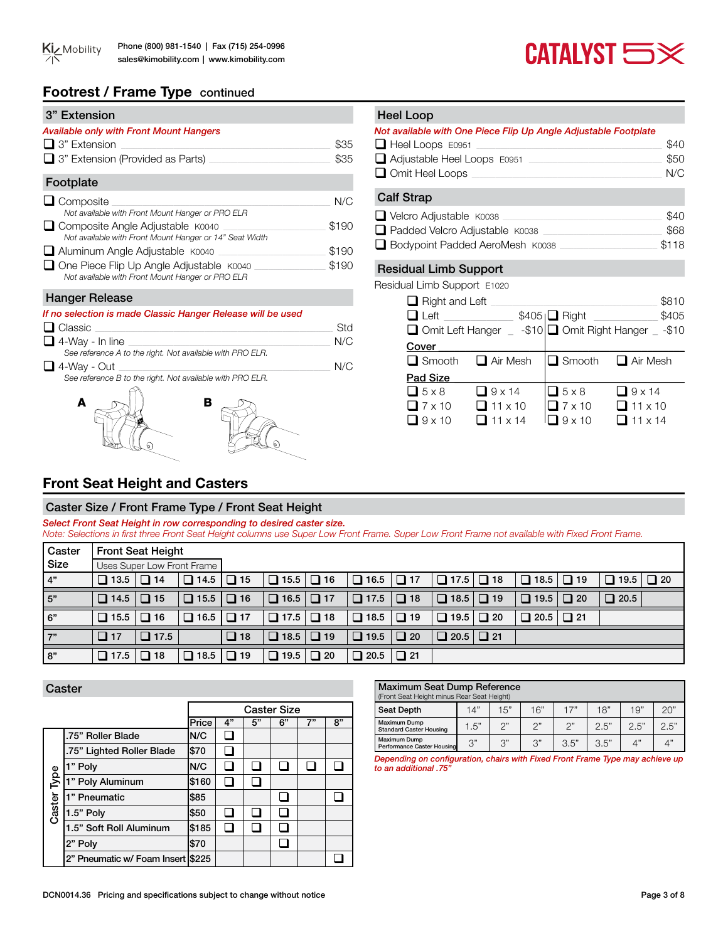

# **Footrest / Frame Type** continued

| 3" Extension                                                                                          |       |
|-------------------------------------------------------------------------------------------------------|-------|
| <b>Available only with Front Mount Hangers</b>                                                        |       |
| $\Box$ 3" Extension                                                                                   | \$35  |
| $\Box$ 3" Extension (Provided as Parts)                                                               | \$35  |
| Footplate                                                                                             |       |
| $\Box$ Composite<br>Not available with Front Mount Hanger or PRO ELR                                  | N/C   |
| $\Box$ Composite Angle Adjustable $K0040$<br>Not available with Front Mount Hanger or 14" Seat Width  | \$190 |
| Aluminum Angle Adjustable K0040                                                                       | \$190 |
| $\Box$ One Piece Flip Up Angle Adjustable $K0040$<br>Not available with Front Mount Hanger or PRO ELR | \$190 |

#### Hanger Release

| If no selection is made Classic Hanger Release will be used |     |
|-------------------------------------------------------------|-----|
| $\Box$ Classic                                              | Std |
| $\Box$ 4-Way - In line                                      | N/C |
| See reference A to the right. Not available with PRO ELR.   |     |
| $\Box$ 4-Way - Out                                          | N/C |
| See reference B to the right. Not available with PRO ELR.   |     |
| в                                                           |     |

# Residual Limb Support Calf Strap q Velcro Adjustable K0038 \_\_\_\_\_\_\_\_\_\_\_\_\_\_\_\_\_\_\_\_\_\_\_\_\_\_\_\_\_\_\_\_\_\_\_\_\_\_\_\_\_\_\_\_\_\_\_\_\_\_\_\_\_\_\_\_\_\_\_\_\_\_\_\_\_\_\_ \$40  $\Box$  Padded Velcro Adjustable K0038 □ Bodypoint Padded AeroMesh K0038 2000 3118 *Not available with One Piece Flip Up Angle Adjustable Footplate* q Heel Loops E0951 \_\_\_\_\_\_\_\_\_\_\_\_\_\_\_\_\_\_\_\_\_\_\_\_\_\_\_\_\_\_\_\_\_\_\_\_\_\_\_\_\_\_\_\_\_\_\_\_\_\_\_\_\_\_\_\_\_\_\_\_\_\_\_\_\_\_\_\_\_\_\_\_\_\_\_\_\_\_ \$40  $\Box$  Adjustable Heel Loops  $E0951$ q Omit Heel Loops \_\_\_\_\_\_\_\_\_\_\_\_\_\_\_\_\_\_\_\_\_\_\_\_\_\_\_\_\_\_\_\_\_\_\_\_\_\_\_\_\_\_\_\_\_\_\_\_\_\_\_\_\_\_\_\_\_\_\_\_\_\_\_\_\_\_\_\_\_\_\_\_\_\_\_\_\_\_\_\_ N/C Residual Limb Support E1020 q Right and Left \_\_\_\_\_\_\_\_\_\_\_\_\_\_\_\_\_\_\_\_\_\_\_\_\_\_\_\_\_\_\_\_\_\_\_\_\_\_\_\_\_\_\_\_\_\_\_\_\_\_\_\_\_\_\_\_\_\_\_\_\_\_\_\_\_\_\_\_\_\_ \$810  $\Box$  Left \_\_\_\_\_\_\_\_\_\_\_\_\_\_\_ \$405  $\Box$  Right \_\_\_\_\_\_\_\_\_\_\_\_\_ \$405  $\Box$  Omit Left Hanger  $\Box$  -\$10  $\Box$  Omit Right Hanger  $\Box$  -\$10 Cover  $\Box$  Smooth  $\Box$  Air Mesh  $\Box$  Smooth  $\Box$  Air Mesh

# Pad Size  $\begin{array}{ccccccc}\n\Box 5 x 8 & & \Box 9 x 14 & & \Box 5 x 8 & & \Box 9 x 14 \\
\Box 7 x 10 & & \Box 11 x 10 & & \Box 7 x 10 & & \Box 11 x 10\n\end{array}$  $\begin{array}{|c|c|c|c|c|}\n \hline \text{7 x 10} & \text{11 x 10} & \text{17 x 10} & \text{11 x 10} \\
 \hline \text{19 x 10} & \text{11 x 14} & \text{19 x 10} & \text{11 x 14}\n \hline \end{array}$  $\Box$  11 x 14

# **Front Seat Height and Casters**

# Caster Size / Front Frame Type / Front Seat Height

*Select Front Seat Height in row corresponding to desired caster size. Note: Selections in first three Front Seat Height columns use Super Low Front Frame. Super Low Front Frame not available with Fixed Front Frame.* 

| Caster |                       | <b>Front Seat Height</b>   |                       |           |                       |           |             |           |  |             |           |                       |  |
|--------|-----------------------|----------------------------|-----------------------|-----------|-----------------------|-----------|-------------|-----------|--|-------------|-----------|-----------------------|--|
| Size   |                       | Uses Super Low Front Frame |                       |           |                       |           |             |           |  |             |           |                       |  |
| 4"     | $\Box$ 13.5 $\Box$ 14 |                            | $\Box$ 14.5 $\Box$ 15 |           | $\Box$ 15.5 $\Box$ 16 |           | $\Box$ 16.5 | $\Box$ 17 |  | $\Box$ 18.5 | $\Box$ 19 | $\Box$ 19.5 $\Box$ 20 |  |
| 5"     | $\Box$ 14.5 $\Box$ 15 |                            | $\Box$ 15.5 $\Box$ 16 |           | $\Box$ 16.5 $\Box$ 17 |           | $\Box$ 17.5 | $\Box$ 18 |  | $\Box$ 19.5 | $\Box$ 20 | $\Box$ 20.5           |  |
| 6"     | $\Box$ 15.5 $\Box$ 16 |                            |                       |           |                       |           | $\Box$ 18.5 | $\Box$ 19 |  | $\Box$ 20.5 | $\Box$ 21 |                       |  |
| 7"     | $\Box$ 17             | $\Box$ 17.5                |                       | $\Box$ 18 |                       |           | $\Box$ 19.5 | $\Box$ 20 |  |             |           |                       |  |
| 8"     | $\Box$ 17.5 $\Box$ 18 |                            |                       |           | $\Box$ 19.5           | $\Box$ 20 | $\Box$ 20.5 | $\Box$ 21 |  |             |           |                       |  |

Heel Loop

#### **Caster**

|             |                                     |       |    | <b>Caster Size</b> |    |    |    |
|-------------|-------------------------------------|-------|----|--------------------|----|----|----|
|             |                                     | Price | 4" | 5"                 | 6" | 7" | 8" |
|             | l.75" Roller Blade                  | N/C   |    |                    |    |    |    |
|             | .75" Lighted Roller Blade           | \$70  |    |                    |    |    |    |
|             | 1" Poly                             | N/C   |    |                    |    |    |    |
|             | 1" Poly Aluminum                    | \$160 |    |                    |    |    |    |
|             | 1" Pneumatic                        | \$85  |    |                    |    |    |    |
| Caster Type | 1.5" Poly                           | \$50  |    |                    |    |    |    |
|             | 1.5" Soft Roll Aluminum             | \$185 |    |                    |    |    |    |
|             | 2" Poly                             | \$70  |    |                    |    |    |    |
|             | 2" Pneumatic w/ Foam Insert   \$225 |       |    |                    |    |    |    |

| DCN0014.36 Pricing and specifications subject to change without notice | Page 3 of 8 |
|------------------------------------------------------------------------|-------------|
|                                                                        |             |

| Maximum Seat Dump Reference<br>(Front Seat Height minus Rear Seat Height) |      |     |     |      |      |      |      |
|---------------------------------------------------------------------------|------|-----|-----|------|------|------|------|
| <b>Seat Depth</b>                                                         | 14"  | 15" | 16" | 17"  | 18"  | 19"  | 20"  |
| <b>Maximum Dump</b><br><b>Standard Caster Housing</b>                     | 1.5" | つ"  | つ"  | つ"   | 2.5" | 2.5" | 2.5" |
| <b>Maximum Dump</b><br>Performance Caster Housing                         | 3"   | 3"  | 3"  | 3.5" | 3.5" | ∕′″  | 4"   |

*Depending on configuration, chairs with Fixed Front Frame Type may achieve up to an additional .75"*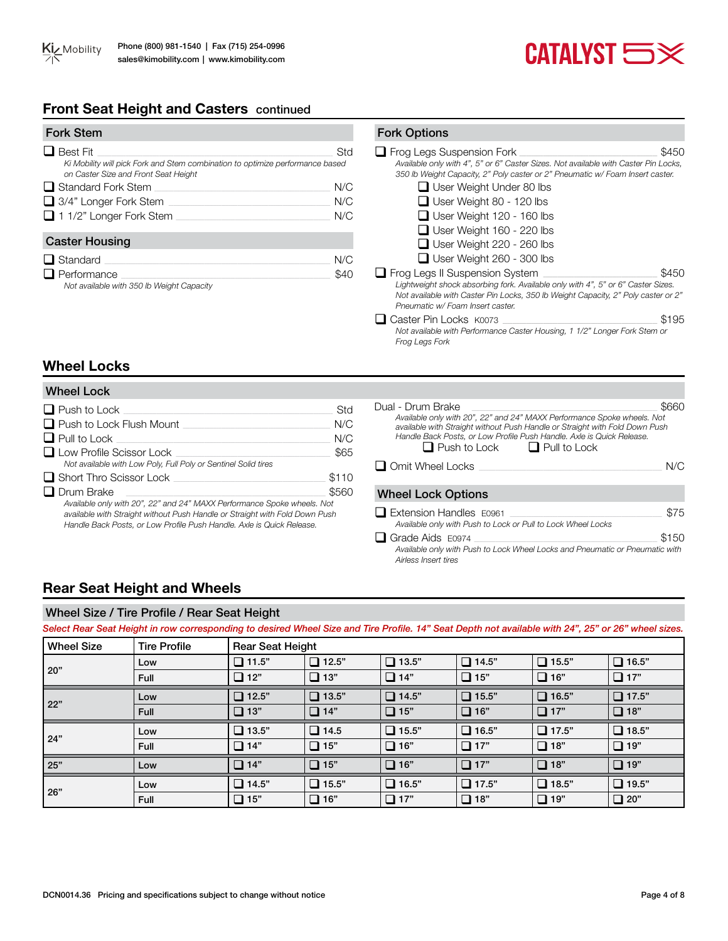

# **Front Seat Height and Casters** continued

| <b>Fork Stem</b>                                                                                                                         |                   |
|------------------------------------------------------------------------------------------------------------------------------------------|-------------------|
| $\Box$ Best Fit<br>Ki Mobility will pick Fork and Stem combination to optimize performance based<br>on Caster Size and Front Seat Height | Std               |
| $\Box$ Standard Fork Stem<br>$\Box$ 3/4" Longer Fork Stem<br>$\Box$ 1 1/2" Longer Fork Stem                                              | N/C<br>N/C<br>N/C |
| <b>Caster Housing</b>                                                                                                                    |                   |
| $\Box$ Standard<br>Performance                                                                                                           | N/C               |

#### *Not available with 350 lb Weight Capacity*

#### q Frog Legs Suspension Fork \_\_\_\_\_\_\_\_\_\_\_\_\_\_\_\_\_\_\_\_\_\_\_\_\_\_\_\_\_\_\_\_\_\_\_\_\_\_\_\_\_\_\_\_\_\_\_\_\_\_\_\_\_\_\_\_\_\_ \$450 *Available only with 4", 5" or 6" Caster Sizes. Not available with Caster Pin Locks, 350 lb Weight Capacity, 2" Poly caster or 2" Pneumatic w/ Foam Insert caster.*   $\Box$  User Weight Under 80 lbs **Q** User Weight 80 - 120 lbs  $\Box$  User Weight 120 - 160 lbs  $\Box$  User Weight 160 - 220 lbs  $\Box$  User Weight 220 - 260 lbs  $\Box$  User Weight 260 - 300 lbs □ Frog Legs II Suspension System \_\_\_\_\_\_\_\_\_\_\_\_\_\_\_\_\_\_\_\_\_\_\_\_\_\_\_\_\_\_\_ \$450 *Lightweight shock absorbing fork. Available only with 4", 5" or 6" Caster Sizes. Not available with Caster Pin Locks, 350 lb Weight Capacity, 2" Poly caster or 2" Pneumatic w/ Foam Insert caster.*  q Caster Pin Locks K0073 \_\_\_\_\_\_\_\_\_\_\_\_\_\_\_\_\_\_\_\_\_\_\_\_\_\_\_\_\_\_\_\_\_\_\_\_\_\_\_\_\_\_\_\_\_\_\_\_\_\_\_\_\_\_\_\_\_\_\_\_\_\_\_\_\_ \$195 *Not available with Performance Caster Housing, 1 1/2" Longer Fork Stem or Frog Legs Fork*

# **Wheel Locks**

| <b>Wheel Lock</b>                                                                                                                                                                                                               |       |
|---------------------------------------------------------------------------------------------------------------------------------------------------------------------------------------------------------------------------------|-------|
| $\Box$ Push to Lock                                                                                                                                                                                                             | Std   |
| $\Box$ Push to Lock Flush Mount                                                                                                                                                                                                 | N/C   |
| $\Box$ Pull to Lock                                                                                                                                                                                                             | N/C   |
| Low Profile Scissor Lock<br>Not available with Low Poly, Full Poly or Sentinel Solid tires                                                                                                                                      | \$65  |
| $\Box$ Short Thro Scissor Lock                                                                                                                                                                                                  | \$110 |
| $\Box$ Drum Brake                                                                                                                                                                                                               | \$560 |
| Available only with 20", 22" and 24" MAXX Performance Spoke wheels. Not<br>available with Straight without Push Handle or Straight with Fold Down Push<br>Handle Back Posts, or Low Profile Push Handle, Axle is Quick Release. |       |

Dual - Drum Brake \_\_\_\_\_\_\_\_\_\_\_\_\_\_\_\_\_\_\_\_\_\_\_\_\_\_\_\_\_\_\_\_\_\_\_\_\_\_\_\_\_\_\_\_\_\_\_\_\_\_\_\_\_\_\_\_\_\_\_\_\_\_\_\_\_\_\_\_\_\_\_\_\_\_\_\_\_\_ \$660 *Available only with 20", 22" and 24" MAXX Performance Spoke wheels. Not available with Straight without Push Handle or Straight with Fold Down Push Handle Back Posts, or Low Profile Push Handle. Axle is Quick Release.*  $\Box$  Push to Lock  $\Box$  Pull to Lock

q Omit Wheel Locks \_\_\_\_\_\_\_\_\_\_\_\_\_\_\_\_\_\_\_\_\_\_\_\_\_\_\_\_\_\_\_\_\_\_\_\_\_\_\_\_\_\_\_\_\_\_\_\_\_\_\_\_\_\_\_\_\_\_\_\_\_\_\_\_\_\_\_\_\_\_\_\_\_\_\_\_\_ N/C

#### Wheel Lock Options

**Fork Options** 

| Extension Handles E0961                                                      | \$75  |
|------------------------------------------------------------------------------|-------|
| Available only with Push to Lock or Pull to Lock Wheel Locks                 |       |
| $\Box$ Grade Aids $E0974$                                                    | \$150 |
| Available only with Push to Lock Wheel Locks and Pneumatic or Pneumatic with |       |
| Airless Insert tires                                                         |       |

# **Rear Seat Height and Wheels**

#### Wheel Size / Tire Profile / Rear Seat Height

*Select Rear Seat Height in row corresponding to desired Wheel Size and Tire Profile. 14" Seat Depth not available with 24", 25" or 26" wheel sizes.* 

| <b>Wheel Size</b> | <b>Tire Profile</b> | <b>Rear Seat Height</b> |              |              |              |               |              |
|-------------------|---------------------|-------------------------|--------------|--------------|--------------|---------------|--------------|
|                   | Low                 | $\Box$ 11.5"            | $\Box$ 12.5" | $\Box$ 13.5" | $\Box$ 14.5" | $\Box$ 15.5"  | $\Box$ 16.5" |
| 20"               | Full                | $\Box$ 12"              | $\Box$ 13"   | $\Box$ 14"   | $\Box$ 15"   | $\Box$ 16"    | $\Box$ 17"   |
|                   | Low                 | $\Box$ 12.5"            | $\Box$ 13.5" | $\Box$ 14.5" | $\Box$ 15.5" | $\Box$ 16.5"  | $\Box$ 17.5" |
| 22"               | <b>Full</b>         | $\Box$ 13"              | $\Box$ 14"   | $\Box$ 15"   | $\Box$ 16"   | $\Box$ 17"    | $\Box$ 18"   |
| 24"               | Low                 | $\Box$ 13.5"            | $\Box$ 14.5  | $\Box$ 15.5" | $\Box$ 16.5" | $\Box$ 17.5"  | $\Box$ 18.5" |
|                   | Full                | $\Box$ 14"              | $\Box$ 15"   | $\Box$ 16"   | $\Box$ 17"   | $\square$ 18" | $\Box$ 19"   |
| 25"               | Low                 | $\Box$ 14"              | $\Box$ 15"   | $\Box$ 16"   | $\Box$ 17"   | $\Box$ 18"    | $\Box$ 19"   |
|                   | Low                 | $\Box$ 14.5"            | $\Box$ 15.5" | $\Box$ 16.5" | $\Box$ 17.5" | $\Box$ 18.5"  | $\Box$ 19.5" |
| 26"               | Full                | $\Box$ 15"              | $\Box$ 16"   | $\Box$ 17"   | $\Box$ 18"   | $\Box$ 19"    | $\Box$ 20"   |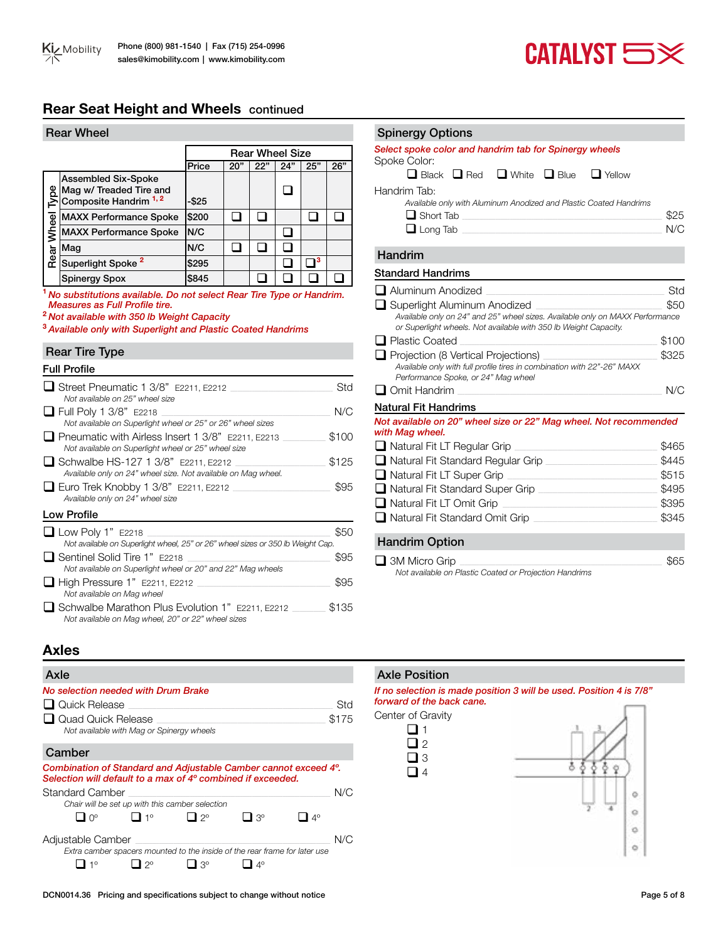

# **Rear Seat Height and Wheels** continued

|       | <b>Rear Wheel</b>                                                        |          |     |                        |     |     |     |
|-------|--------------------------------------------------------------------------|----------|-----|------------------------|-----|-----|-----|
|       |                                                                          |          |     | <b>Rear Wheel Size</b> |     |     |     |
|       |                                                                          | Price    | 20" | 22"                    | 24" | 25" | 26" |
| eq.   | Assembled Six-Spoke<br>Mag w/ Treaded Tire and<br>Composite Handrim 1, 2 | $-$ \$25 |     |                        |     |     |     |
|       | <b>MAXX Performance Spoke</b>                                            | \$200    |     |                        |     |     |     |
| Wheel | <b>MAXX Performance Spoke</b>                                            | N/C      |     |                        |     |     |     |
|       | Mag                                                                      | N/C      |     |                        |     |     |     |
| Rear  | Superlight Spoke <sup>2</sup>                                            | \$295    |     |                        |     | 13  |     |
|       | <b>Spinergy Spox</b>                                                     | \$845    |     |                        |     |     |     |

**<sup>1</sup>***No substitutions available. Do not select Rear Tire Type or Handrim. Measures as Full Profile tire.*

**<sup>2</sup>***Not available with 350 lb Weight Capacity*

**<sup>3</sup>***Available only with Superlight and Plastic Coated Handrims*

#### Rear Tire Type

| <b>Full Profile</b>                                                                                                               |       |
|-----------------------------------------------------------------------------------------------------------------------------------|-------|
| ■ Street Pneumatic 1 3/8" E2211, E2212<br>Not available on 25" wheel size                                                         | Std   |
| $\Box$ Full Poly 1 3/8" E2218<br>Not available on Superlight wheel or 25" or 26" wheel sizes                                      | N/C   |
| $\blacksquare$ Pneumatic with Airless Insert 1 3/8" $\,$ E2211, E2213 $\,$<br>Not available on Superlight wheel or 25" wheel size | \$100 |
| □ Schwalbe HS-127 1 3/8" E2211, E2212<br>Available only on 24" wheel size. Not available on Mag wheel.                            | \$125 |
| □ Euro Trek Knobby 1 3/8" E2211, E2212<br>Available only on 24" wheel size                                                        | \$95  |
| Low Profile                                                                                                                       |       |
| $\Box$ Low Poly 1" E2218<br>Not available on Superlight wheel, 25" or 26" wheel sizes or 350 lb Weight Cap.                       | \$50  |
| ■ Sentinel Solid Tire 1" E2218<br>Not available on Superlight wheel or 20" and 22" Mag wheels                                     | \$95  |
| $\Box$ High Pressure 1" E2211, E2212<br>Not available on Mag wheel                                                                | \$95  |
| Schwalbe Marathon Plus Evolution 1" E2211, E2212<br>Not available on Mag wheel, 20" or 22" wheel sizes                            | \$135 |

## Spinergy Options

| opinoryy opuono                                                                                                                                                                                                                                                                             |       |
|---------------------------------------------------------------------------------------------------------------------------------------------------------------------------------------------------------------------------------------------------------------------------------------------|-------|
| Select spoke color and handrim tab for Spinergy wheels<br>Spoke Color:                                                                                                                                                                                                                      |       |
| $\Box$ Black $\Box$ Red $\Box$ White $\Box$ Blue<br>$\Box$ Yellow                                                                                                                                                                                                                           |       |
| Handrim Tab:                                                                                                                                                                                                                                                                                |       |
| Available only with Aluminum Anodized and Plastic Coated Handrims                                                                                                                                                                                                                           |       |
| $\Box$ Short Tab                                                                                                                                                                                                                                                                            | \$25  |
| $\Box$ Long Tab                                                                                                                                                                                                                                                                             | N/C   |
| Handrim                                                                                                                                                                                                                                                                                     |       |
| <b>Standard Handrims</b>                                                                                                                                                                                                                                                                    |       |
| □ Aluminum Anodized                                                                                                                                                                                                                                                                         | Std   |
| □ Superlight Aluminum Anodized                                                                                                                                                                                                                                                              | \$50  |
| Available only on 24" and 25" wheel sizes. Available only on MAXX Performance<br>or Superlight wheels. Not available with 350 lb Weight Capacity.                                                                                                                                           |       |
| □ Plastic Coated                                                                                                                                                                                                                                                                            | \$100 |
| $\Box$ Projection (8 Vertical Projections)                                                                                                                                                                                                                                                  | \$325 |
| Available only with full profile tires in combination with 22"-26" MAXX                                                                                                                                                                                                                     |       |
| Performance Spoke, or 24" Mag wheel                                                                                                                                                                                                                                                         |       |
| $\Box$ Omit Handrim                                                                                                                                                                                                                                                                         | N/C   |
| <b>Natural Fit Handrims</b>                                                                                                                                                                                                                                                                 |       |
| Not available on 20" wheel size or 22" Mag wheel. Not recommended<br>with Mag wheel.                                                                                                                                                                                                        |       |
| $\Box$ Natural Fit LT Regular Grip<br>$\mathcal{L}^{\mathcal{L}}(\mathcal{L}^{\mathcal{L}})$ and the set of the set of the set of the set of the set of the set of the set of the set of the set of the set of the set of the set of the set of the set of the set of the set of the set of | \$465 |
| Natural Fit Standard Regular Grip                                                                                                                                                                                                                                                           | \$445 |
| $\Box$ Natural Fit LT Super Grip                                                                                                                                                                                                                                                            | \$515 |
| Natural Fit Standard Super Grip                                                                                                                                                                                                                                                             | \$495 |
| $\Box$ Natural Fit LT Omit Grip                                                                                                                                                                                                                                                             | \$395 |
| □ Natural Fit Standard Omit Grip                                                                                                                                                                                                                                                            | \$345 |
|                                                                                                                                                                                                                                                                                             |       |

#### Handrim Option

| $\Box$ 3M Micro Grip                                   | \$65 |
|--------------------------------------------------------|------|
| Not available on Plastic Coated or Projection Handrims |      |

# **Axles**

# Axle *No selection needed with Drum Brake* q Quick Release \_\_\_\_\_\_\_\_\_\_\_\_\_\_\_\_\_\_\_\_\_\_\_\_\_\_\_\_\_\_\_\_\_\_\_\_\_\_\_\_\_\_\_\_\_\_\_\_\_\_\_\_\_\_\_\_\_\_\_\_\_\_\_\_\_\_\_\_\_\_\_\_\_\_\_\_\_\_\_\_\_\_\_\_\_\_ Std  $\Box$  Quad Quick Release *Not available with Mag or Spinergy wheels* Camber *Combination of Standard and Adjustable Camber cannot exceed 4º. Selection will default to a max of 4º combined if exceeded.* Standard Camber \_\_\_\_\_\_\_\_\_\_\_\_\_\_\_\_\_\_\_\_\_\_\_\_\_\_\_\_\_\_\_\_\_\_\_\_\_\_\_\_\_\_\_\_\_\_\_\_\_\_\_\_\_\_\_\_\_\_\_\_\_\_\_\_\_\_\_\_\_\_\_\_\_\_\_\_\_\_\_\_\_\_\_\_\_ N/C *Chair will be set up with this camber selection*  $\Box$  0°  $\Box$  1°  $\Box$  2°  $\Box$  3°  $\Box$  4° Adjustable Camber \_\_\_\_\_\_\_\_\_\_\_\_\_\_\_\_\_\_\_\_\_\_\_\_\_\_\_\_\_\_\_\_\_\_\_\_\_\_\_\_\_\_\_\_\_\_\_\_\_\_\_\_\_\_\_\_\_\_\_\_\_\_\_\_\_\_\_\_\_\_\_\_\_\_\_\_\_\_\_\_\_\_ N/C *Extra camber spacers mounted to the inside of the rear frame for later use*  $\Box$  1°  $\Box$  2°  $\Box$  3°  $\Box$  4°

#### Axle Position

#### *If no selection is made position 3 will be used. Position 4 is 7/8" forward of the back cane.*

Center of Gravity



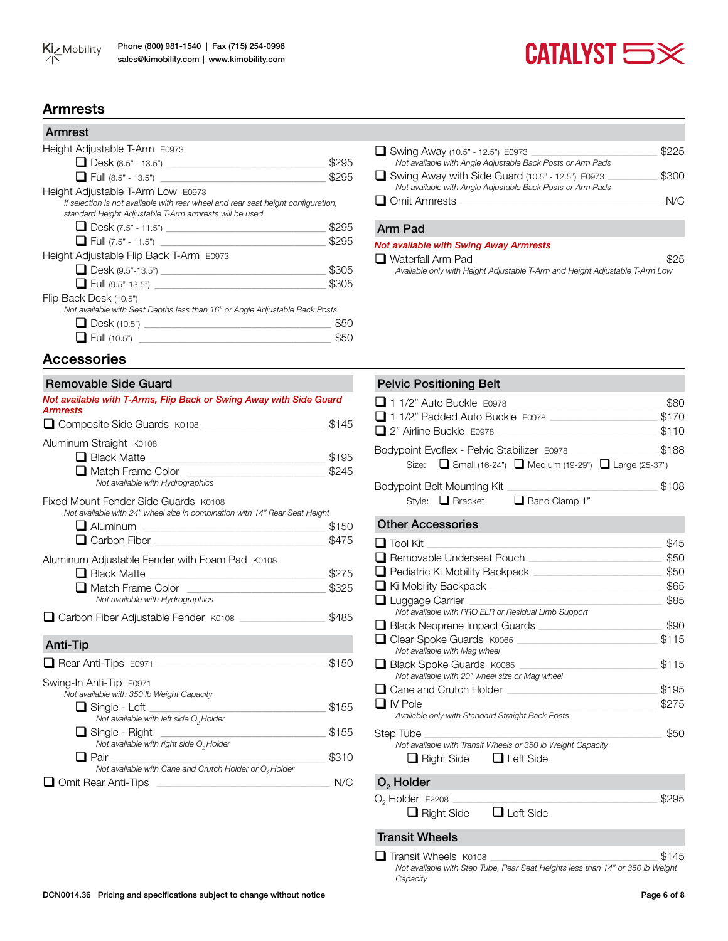# $CATALVST  $\implies \times$$

# **Armrests**

| Armrest                                                                                                                                     |       |
|---------------------------------------------------------------------------------------------------------------------------------------------|-------|
| Height Adjustable T-Arm E0973                                                                                                               |       |
| Desk (8.5" - 13.5")                                                                                                                         | \$295 |
| $\Box$ Full (8.5" - 13.5")                                                                                                                  | \$295 |
| Height Adjustable T-Arm Low E0973                                                                                                           |       |
| If selection is not available with rear wheel and rear seat height configuration,<br>standard Height Adjustable T-Arm armrests will be used |       |
|                                                                                                                                             | \$295 |
|                                                                                                                                             | \$295 |
| Height Adjustable Flip Back T-Arm E0973                                                                                                     |       |
|                                                                                                                                             | \$305 |
|                                                                                                                                             | \$305 |
| Flip Back Desk (10.5")                                                                                                                      |       |
| Not available with Seat Depths less than 16" or Angle Adjustable Back Posts                                                                 |       |
|                                                                                                                                             | 850   |
| $\blacksquare$ Full (10.5") ______                                                                                                          |       |

| Swing Away (10.5" - 12.5") E0973                           | \$225 |
|------------------------------------------------------------|-------|
| Not available with Angle Adjustable Back Posts or Arm Pads |       |
| Swing Away with Side Guard (10.5" - 12.5") E0973           | \$300 |
| Not available with Angle Adjustable Back Posts or Arm Pads |       |
| $\Box$ Omit Armrests                                       | N/C   |
|                                                            |       |

#### Arm Pad

#### *Not available with Swing Away Armrests*

 $\Box$  Waterfall Arm Pad *Available only with Height Adjustable T-Arm and Height Adjustable T-Arm Low*

# **Accessories**

### *Not available with T-Arms, Flip Back or Swing Away with Side Guard Armrests* q Composite Side Guards K0108 \_\_\_\_\_\_\_\_\_\_\_\_\_\_\_\_\_\_\_\_\_\_\_\_\_\_\_\_\_\_\_\_\_\_\_\_\_\_\_\_\_\_\_\_\_\_\_\_\_\_\_\_ \$145 Aluminum Straight K0108 q Black Matte \_\_\_\_\_\_\_\_\_\_\_\_\_\_\_\_\_\_\_\_\_\_\_\_\_\_\_\_\_\_\_\_\_ \$195 q Match Frame Color \_\_\_\_\_\_\_\_\_\_\_\_\_\_\_\_\_\_\_\_\_\_\_\_\_\_ \$245 *Not available with Hydrographics* Fixed Mount Fender Side Guards K0108 *Not available with 24" wheel size in combination with 14" Rear Seat Height*  $\Box$  Aluminum  $$150$ **Q** Carbon Fiber  $$475$ Aluminum Adjustable Fender with Foam Pad K0108 q Black Matte \_\_\_\_\_\_\_\_\_\_\_\_\_\_\_\_\_\_\_\_\_\_\_\_\_\_\_\_\_\_\_\_\_ \$275  $\Box$  Match Frame Color *Not available with Hydrographics* q Carbon Fiber Adjustable Fender K0108 \_\_\_\_\_\_\_\_\_\_\_\_\_\_\_\_\_\_\_\_\_\_\_\_\_\_\_\_\_\_\_\_\_\_\_\_ \$485 Removable Side Guard Anti-Tip q Rear Anti-Tips E0971 \_\_\_\_\_\_\_\_\_\_\_\_\_\_\_\_\_\_\_\_\_\_\_\_\_\_\_\_\_\_\_\_\_\_\_\_\_\_\_\_\_\_\_\_\_\_\_\_\_\_\_\_\_\_\_\_\_\_\_\_\_\_\_\_\_\_\_\_\_\_\_ \$150 Swing-In Anti-Tip E0971 *Not available with 350 lb Weight Capacity*  $\Box$  Single - Left  $\Box$ *Not available with left side O<sub>2</sub> Holder*  q Single - Right \_\_\_\_\_\_\_\_\_\_\_\_\_\_\_\_\_\_\_\_\_\_\_\_\_\_\_\_\_\_\_ \$155 *Not available with right side*  $O<sub>2</sub>$  *Holder*<br> **1** Pair q Pair \_\_\_\_\_\_\_\_\_\_\_\_\_\_\_\_\_\_\_\_\_\_\_\_\_\_\_\_\_\_\_\_\_\_\_\_\_\_\_\_ \$310 *Not available with Cane and Crutch Holder or O2 Holder* **Q** Omit Rear Anti-Tips **Quarter Anti-Tips Quarter Anti-Tips N/C**

# Pelvic Positioning Belt q 1 1/2" Auto Buckle E0978 \_\_\_\_\_\_\_\_\_\_\_\_\_\_\_\_\_\_\_\_\_\_\_\_\_\_\_\_\_\_\_\_\_\_\_\_\_\_\_\_\_\_\_\_\_\_\_\_\_\_\_\_\_\_\_\_\_\_\_\_\_\_\_\_ \$80 □ 1 1/2" Padded Auto Buckle E0978 <br>● \$170 q 2" Airline Buckle E0978 \_\_\_\_\_\_\_\_\_\_\_\_\_\_\_\_\_\_\_\_\_\_\_\_\_\_\_\_\_\_\_\_\_\_\_\_\_\_\_\_\_\_\_\_\_\_\_\_\_\_\_\_\_\_\_\_\_\_\_\_\_\_\_\_\_\_\_ \$110 Bodypoint Evoflex - Pelvic Stabilizer E0978 \_\_\_\_\_\_\_\_\_\_\_\_\_\_\_\_\_\_\_\_\_\_\_\_\_\_\_\_\_\_\_\_\_\_\_\_ \$188 Size: **q** Small (16-24") **q** Medium (19-29") **q** Large (25-37") Bodypoint Belt Mounting Kit \_\_\_\_\_\_\_\_\_\_\_\_\_\_\_\_\_\_\_\_\_\_\_\_\_\_\_\_\_\_\_\_\_\_\_\_\_\_\_\_\_\_\_\_\_\_\_\_\_\_\_\_\_\_\_\_\_\_\_\_\_\_\_ \$108 Style:  $\Box$  Bracket  $\Box$  Band Clamp 1"

#### Other Accessories

| $\sqcup$ Tool Kit                                                             | \$45  |
|-------------------------------------------------------------------------------|-------|
| □ Removable Underseat Pouch                                                   | \$50  |
| $\Box$ Pediatric Ki Mobility Backpack                                         | \$50  |
| $\Box$ Ki Mobility Backpack                                                   | \$65  |
| $\Box$ Luggage Carrier<br>Not available with PRO ELR or Residual Limb Support | \$85  |
| $\Box$ Black Neoprene Impact Guards                                           | \$90  |
| □ Clear Spoke Guards K0065<br>Not available with Mag wheel                    | \$115 |
| □ Black Spoke Guards K0065<br>Not available with 20" wheel size or Mag wheel  | \$115 |
| $\Box$ Cane and Crutch Holder                                                 | \$195 |
| $\Box$ IV Pole<br>Available only with Standard Straight Back Posts            | \$275 |
| Step Tube                                                                     | \$50  |
| Not available with Transit Wheels or 350 lb Weight Capacity                   |       |
| ∎Right Side<br>$\Box$ Left Side                                               |       |

#### O<sub>2</sub> Holder

| $O2$ Holder $E2208$ |                  | \$295 |
|---------------------|------------------|-------|
| $\Box$ Right Side   | $\Box$ Left Side |       |

#### Transit Wheels

 $\Box$  Transit Wheels K0108  $\Box$  Transit Wheels K0108 *Not available with Step Tube, Rear Seat Heights less than 14" or 350 lb Weight Capacity*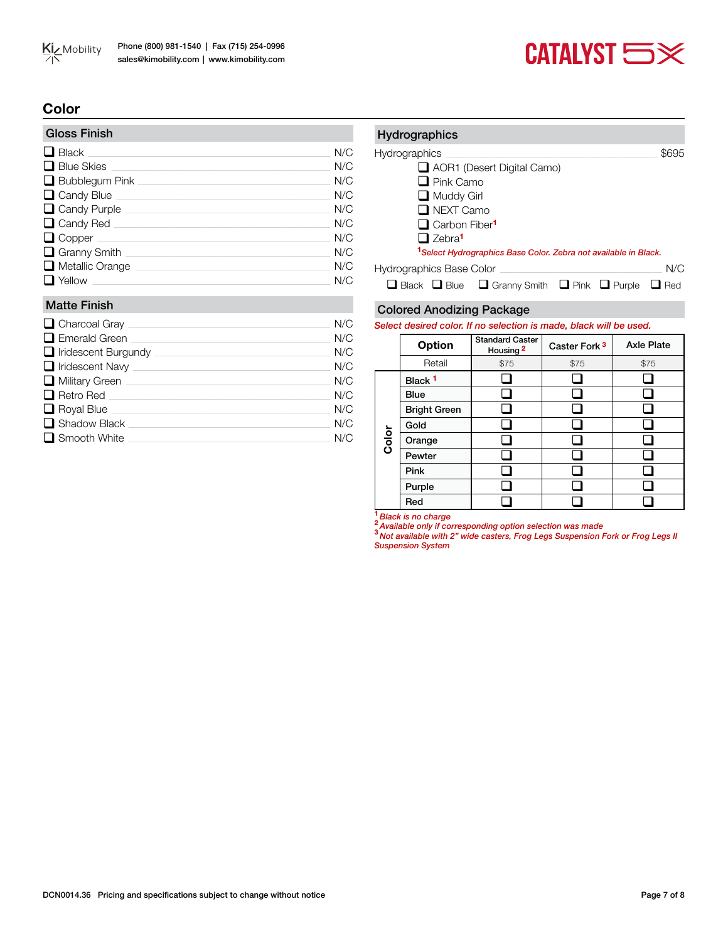



# **Color**

| N/C |
|-----|
| N/C |
| N/C |
| N/C |
| N/C |
| N/C |
| N/C |
| N/C |
| N/C |
| N/C |
|     |

#### Matte Finish

| $\Box$ Charcoal Gray $\_$    | N/C |
|------------------------------|-----|
| $\Box$ Emerald Green         | N/C |
| $\Box$ Iridescent Burgundy   | N/C |
| $\Box$ Iridescent Navy       | N/C |
| $\Box$ Military Green $\Box$ | N/C |
| $\Box$ Retro Red             | N/C |
| $\Box$ Royal Blue            | N/C |
| $\Box$ Shadow Black          | N/C |
| $\Box$ Smooth White          | N/C |

# Hydrographics Hydrographics \_\_\_\_\_\_\_\_\_\_\_\_\_\_\_\_\_\_\_\_\_\_\_\_\_\_\_\_\_\_\_\_\_\_\_\_\_\_\_\_\_\_\_\_\_\_\_\_\_\_\_\_\_\_\_\_\_\_\_\_\_\_\_\_\_\_\_\_\_\_\_\_\_\_\_\_\_\_\_\_\_\_\_\_\_\_\_\_\_ \$695 AOR1 (Desert Digital Camo)  $\Box$  Pink Camo Muddy Girl **Q** NEXT Camo **Q** Carbon Fiber<sup>1</sup> □ Zebra<sup>1</sup> **<sup>1</sup>***Select Hydrographics Base Color. Zebra not available in Black.* Hydrographics Base Color \_\_\_\_\_\_\_\_\_\_\_\_\_\_\_\_\_\_\_\_\_\_\_\_\_\_\_\_\_\_\_\_\_\_\_\_\_\_\_\_\_\_\_\_\_\_\_\_\_\_\_\_\_\_\_\_\_\_\_\_\_\_\_\_\_\_\_\_ N/C  $\Box$  Black  $\Box$  Blue  $\Box$  Granny Smith  $\Box$  Pink  $\Box$  Purple  $\Box$  Red

#### Colored Anodizing Package

*Select desired color. If no selection is made, black will be used.* 

|       | <b>Option</b>       | <b>Standard Caster</b><br>Housing <sup>2</sup> | Caster Fork <sup>3</sup> | <b>Axle Plate</b> |  |  |
|-------|---------------------|------------------------------------------------|--------------------------|-------------------|--|--|
|       | Retail              | \$75                                           | \$75                     | \$75              |  |  |
|       | Black <sup>1</sup>  |                                                |                          |                   |  |  |
|       | <b>Blue</b>         |                                                |                          |                   |  |  |
| Color | <b>Bright Green</b> |                                                |                          |                   |  |  |
|       | Gold                |                                                |                          |                   |  |  |
|       | Orange              |                                                |                          |                   |  |  |
|       | Pewter              |                                                |                          |                   |  |  |
|       | Pink                |                                                |                          |                   |  |  |
|       | Purple              |                                                |                          |                   |  |  |
|       | Red                 |                                                |                          |                   |  |  |

**<sup>1</sup>** *Black is no charge*

**<sup>2</sup>** *Available only if corresponding option selection was made* **<sup>3</sup>** *Not available with 2" wide casters, Frog Legs Suspension Fork or Frog Legs II Suspension System*

DCN0014.36 Pricing and specifications subject to change without notice Page 7 of 8